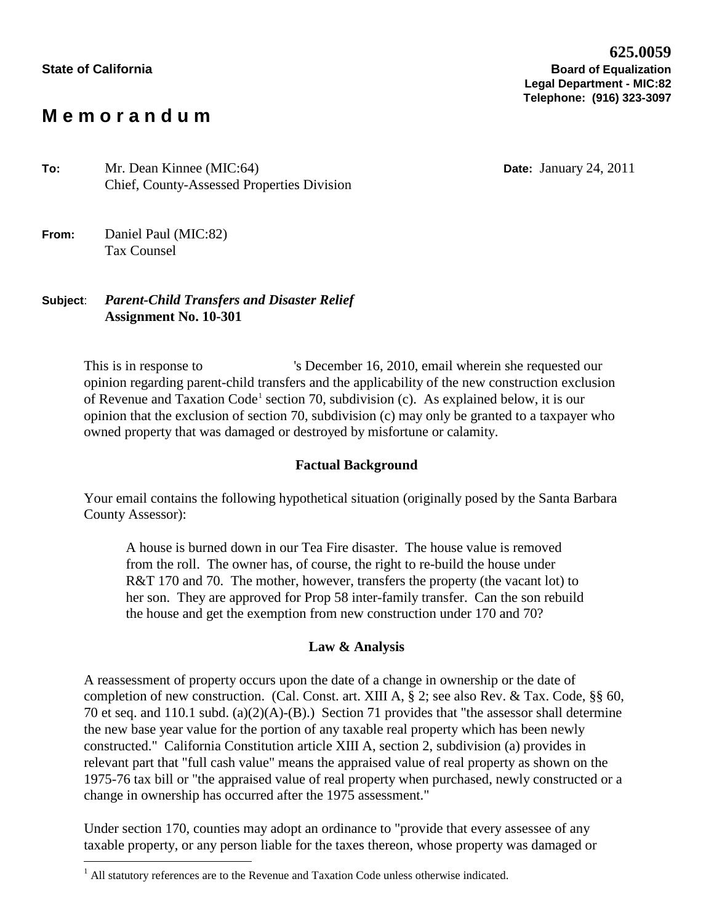# **M e m o r a n d u m**

**To:** Mr. Dean Kinnee (MIC:64) **Date:** January 24, 2011 Chief, County-Assessed Properties Division

**From:** Daniel Paul (MIC:82) Tax Counsel

## **Subject**: *Parent-Child Transfers and Disaster Relief* **Assignment No. 10-301**

This is in response to 's December 16, 2010, email wherein she requested our opinion regarding parent-child transfers and the applicability of the new construction exclusion of Revenue and Taxation Code<sup>[1](#page-0-0)</sup> section 70, subdivision (c). As explained below, it is our opinion that the exclusion of section 70, subdivision (c) may only be granted to a taxpayer who owned property that was damaged or destroyed by misfortune or calamity.

## **Factual Background**

Your email contains the following hypothetical situation (originally posed by the Santa Barbara County Assessor):

A house is burned down in our Tea Fire disaster. The house value is removed from the roll. The owner has, of course, the right to re-build the house under R&T 170 and 70. The mother, however, transfers the property (the vacant lot) to her son. They are approved for Prop 58 inter-family transfer. Can the son rebuild the house and get the exemption from new construction under 170 and 70?

### **Law & Analysis**

A reassessment of property occurs upon the date of a change in ownership or the date of completion of new construction. (Cal. Const. art. XIII A, § 2; see also Rev. & Tax. Code, §§ 60, 70 et seq. and 110.1 subd. (a)(2)(A)-(B).) Section 71 provides that "the assessor shall determine the new base year value for the portion of any taxable real property which has been newly constructed." California Constitution article XIII A, section 2, subdivision (a) provides in relevant part that "full cash value" means the appraised value of real property as shown on the 1975-76 tax bill or "the appraised value of real property when purchased, newly constructed or a change in ownership has occurred after the 1975 assessment."

Under section 170, counties may adopt an ordinance to "provide that every assessee of any taxable property, or any person liable for the taxes thereon, whose property was damaged or

<span id="page-0-0"></span> $\frac{1}{\sqrt{2}}$  $<sup>1</sup>$  All statutory references are to the Revenue and Taxation Code unless otherwise indicated.</sup>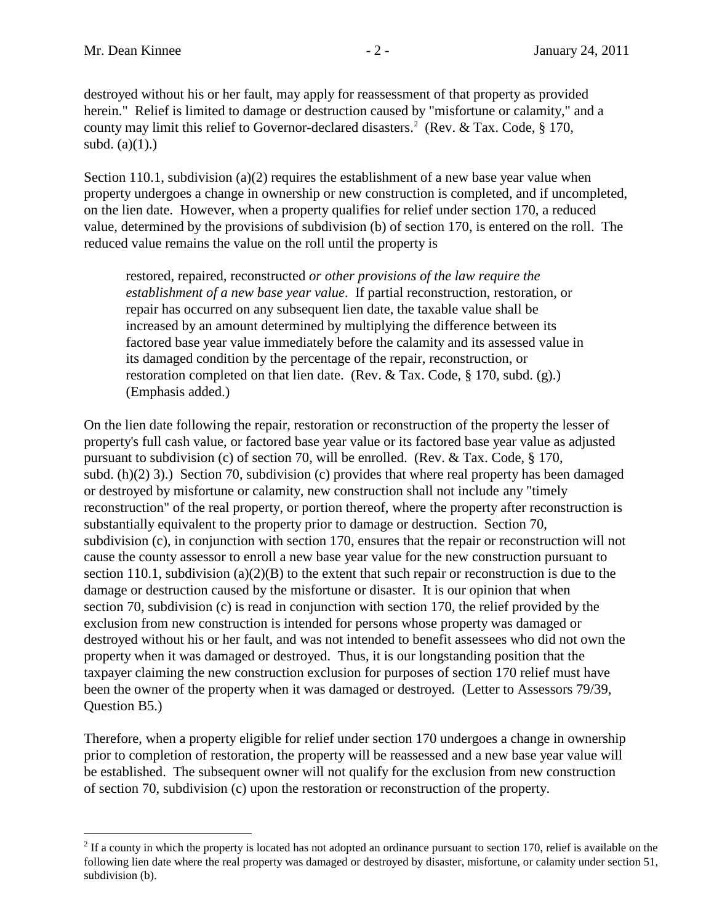destroyed without his or her fault, may apply for reassessment of that property as provided herein." Relief is limited to damage or destruction caused by "misfortune or calamity," and a county may limit this relief to Governor-declared disasters.<sup>[2](#page-1-0)</sup> (Rev. & Tax. Code,  $\S 170$ , subd.  $(a)(1)$ .)

Section 110.1, subdivision (a)(2) requires the establishment of a new base year value when property undergoes a change in ownership or new construction is completed, and if uncompleted, on the lien date. However, when a property qualifies for relief under section 170, a reduced value, determined by the provisions of subdivision (b) of section 170, is entered on the roll. The reduced value remains the value on the roll until the property is

restored, repaired, reconstructed *or other provisions of the law require the establishment of a new base year value*. If partial reconstruction, restoration, or repair has occurred on any subsequent lien date, the taxable value shall be increased by an amount determined by multiplying the difference between its factored base year value immediately before the calamity and its assessed value in its damaged condition by the percentage of the repair, reconstruction, or restoration completed on that lien date. (Rev. & Tax. Code, § 170, subd. (g).) (Emphasis added.)

On the lien date following the repair, restoration or reconstruction of the property the lesser of property's full cash value, or factored base year value or its factored base year value as adjusted pursuant to subdivision (c) of section 70, will be enrolled. (Rev. & Tax. Code, § 170, subd. (h)(2) 3).) Section 70, subdivision (c) provides that where real property has been damaged or destroyed by misfortune or calamity, new construction shall not include any "timely reconstruction" of the real property, or portion thereof, where the property after reconstruction is substantially equivalent to the property prior to damage or destruction. Section 70, subdivision (c), in conjunction with section 170, ensures that the repair or reconstruction will not cause the county assessor to enroll a new base year value for the new construction pursuant to section 110.1, subdivision  $(a)(2)(B)$  to the extent that such repair or reconstruction is due to the damage or destruction caused by the misfortune or disaster. It is our opinion that when section 70, subdivision (c) is read in conjunction with section 170, the relief provided by the exclusion from new construction is intended for persons whose property was damaged or destroyed without his or her fault, and was not intended to benefit assessees who did not own the property when it was damaged or destroyed. Thus, it is our longstanding position that the taxpayer claiming the new construction exclusion for purposes of section 170 relief must have been the owner of the property when it was damaged or destroyed. (Letter to Assessors 79/39, Question B5.)

Therefore, when a property eligible for relief under section 170 undergoes a change in ownership prior to completion of restoration, the property will be reassessed and a new base year value will be established. The subsequent owner will not qualify for the exclusion from new construction of section 70, subdivision (c) upon the restoration or reconstruction of the property.

<span id="page-1-0"></span> $\overline{a}$  $2<sup>2</sup>$  If a county in which the property is located has not adopted an ordinance pursuant to section 170, relief is available on the following lien date where the real property was damaged or destroyed by disaster, misfortune, or calamity under section 51, subdivision (b).